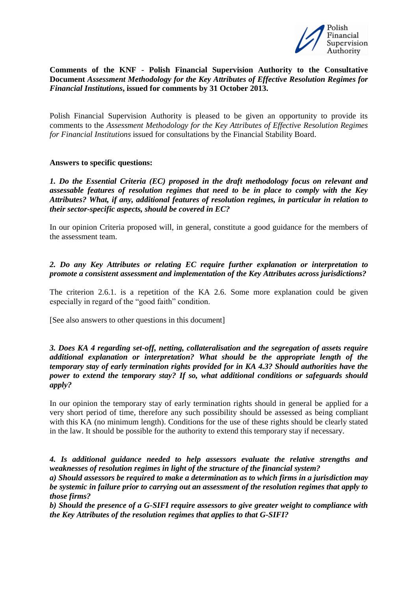

#### **Comments of the KNF - Polish Financial Supervision Authority to the Consultative Document** *Assessment Methodology for the Key Attributes of Effective Resolution Regimes for Financial Institutions***, issued for comments by 31 October 2013.**

Polish Financial Supervision Authority is pleased to be given an opportunity to provide its comments to the *Assessment Methodology for the Key Attributes of Effective Resolution Regimes for Financial Institutions* issued for consultations by the Financial Stability Board.

#### **Answers to specific questions:**

*1. Do the Essential Criteria (EC) proposed in the draft methodology focus on relevant and assessable features of resolution regimes that need to be in place to comply with the Key Attributes? What, if any, additional features of resolution regimes, in particular in relation to their sector-specific aspects, should be covered in EC?* 

In our opinion Criteria proposed will, in general, constitute a good guidance for the members of the assessment team.

### *2. Do any Key Attributes or relating EC require further explanation or interpretation to promote a consistent assessment and implementation of the Key Attributes across jurisdictions?*

The criterion 2.6.1. is a repetition of the KA 2.6. Some more explanation could be given especially in regard of the "good faith" condition.

[See also answers to other questions in this document]

#### *3. Does KA 4 regarding set-off, netting, collateralisation and the segregation of assets require additional explanation or interpretation? What should be the appropriate length of the temporary stay of early termination rights provided for in KA 4.3? Should authorities have the power to extend the temporary stay? If so, what additional conditions or safeguards should apply?*

In our opinion the temporary stay of early termination rights should in general be applied for a very short period of time, therefore any such possibility should be assessed as being compliant with this KA (no minimum length). Conditions for the use of these rights should be clearly stated in the law. It should be possible for the authority to extend this temporary stay if necessary.

*4. Is additional guidance needed to help assessors evaluate the relative strengths and weaknesses of resolution regimes in light of the structure of the financial system?* 

*a) Should assessors be required to make a determination as to which firms in a jurisdiction may be systemic in failure prior to carrying out an assessment of the resolution regimes that apply to those firms?* 

*b) Should the presence of a G-SIFI require assessors to give greater weight to compliance with the Key Attributes of the resolution regimes that applies to that G-SIFI?*